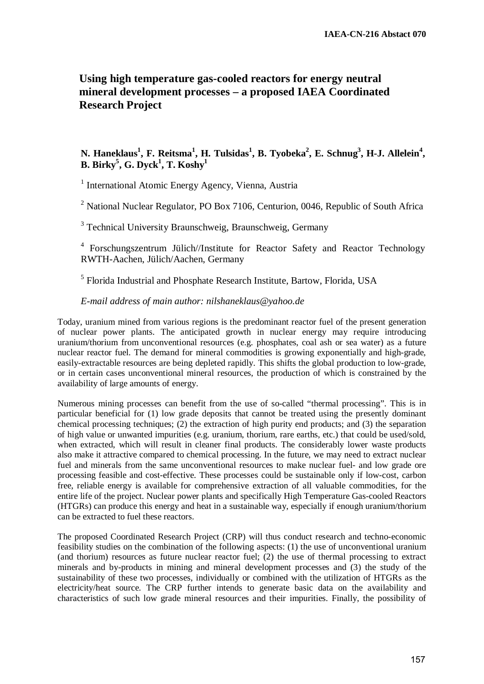## **Using high temperature gas-cooled reactors for energy neutral mineral development processes – a proposed IAEA Coordinated Research Project**

## N. Haneklaus<sup>1</sup>, F. Reitsma<sup>1</sup>, H. Tulsidas<sup>1</sup>, B. Tyobeka<sup>2</sup>, E. Schnug<sup>3</sup>, H-J. Allelein<sup>4</sup>,  $\mathbf{B}.~\mathbf{Birky}^5,~\mathbf{G}.~\mathbf{Dyck}^1,~\mathbf{T}.~\mathbf{Koshy}^1$

<sup>1</sup> International Atomic Energy Agency, Vienna, Austria

<sup>2</sup> National Nuclear Regulator, PO Box 7106, Centurion, 0046, Republic of South Africa

<sup>3</sup> Technical University Braunschweig, Braunschweig, Germany

<sup>4</sup> Forschungszentrum Jülich//Institute for Reactor Safety and Reactor Technology RWTH-Aachen, Jülich/Aachen, Germany

<sup>5</sup> Florida Industrial and Phosphate Research Institute, Bartow, Florida, USA

## *E-mail address of main author: nilshaneklaus@yahoo.de*

Today, uranium mined from various regions is the predominant reactor fuel of the present generation of nuclear power plants. The anticipated growth in nuclear energy may require introducing uranium/thorium from unconventional resources (e.g. phosphates, coal ash or sea water) as a future nuclear reactor fuel. The demand for mineral commodities is growing exponentially and high-grade, easily-extractable resources are being depleted rapidly. This shifts the global production to low-grade, or in certain cases unconventional mineral resources, the production of which is constrained by the availability of large amounts of energy.

Numerous mining processes can benefit from the use of so-called "thermal processing". This is in particular beneficial for (1) low grade deposits that cannot be treated using the presently dominant chemical processing techniques; (2) the extraction of high purity end products; and (3) the separation of high value or unwanted impurities (e.g. uranium, thorium, rare earths, etc.) that could be used/sold, when extracted, which will result in cleaner final products. The considerably lower waste products also make it attractive compared to chemical processing. In the future, we may need to extract nuclear fuel and minerals from the same unconventional resources to make nuclear fuel- and low grade ore processing feasible and cost-effective. These processes could be sustainable only if low-cost, carbon free, reliable energy is available for comprehensive extraction of all valuable commodities, for the entire life of the project. Nuclear power plants and specifically High Temperature Gas-cooled Reactors (HTGRs) can produce this energy and heat in a sustainable way, especially if enough uranium/thorium can be extracted to fuel these reactors.

The proposed Coordinated Research Project (CRP) will thus conduct research and techno-economic feasibility studies on the combination of the following aspects: (1) the use of unconventional uranium (and thorium) resources as future nuclear reactor fuel; (2) the use of thermal processing to extract minerals and by-products in mining and mineral development processes and (3) the study of the sustainability of these two processes, individually or combined with the utilization of HTGRs as the electricity/heat source. The CRP further intends to generate basic data on the availability and characteristics of such low grade mineral resources and their impurities. Finally, the possibility of